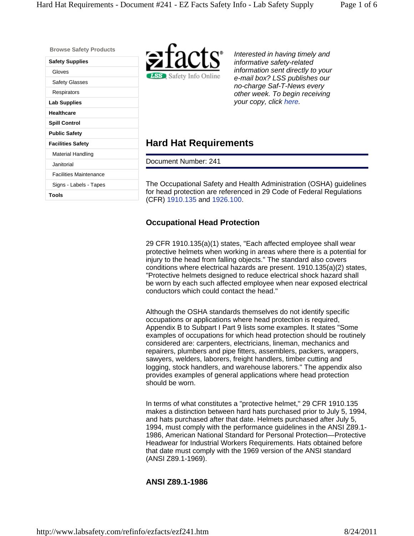**Browse Safety Products** 

| Safety Supplies               |  |  |
|-------------------------------|--|--|
| Gloves                        |  |  |
| Safety Glasses                |  |  |
| Respirators                   |  |  |
| Lab Supplies                  |  |  |
| Healthcare                    |  |  |
| <b>Spill Control</b>          |  |  |
| <b>Public Safety</b>          |  |  |
| <b>Facilities Safety</b>      |  |  |
| Material Handling             |  |  |
| Janitorial                    |  |  |
| <b>Facilities Maintenance</b> |  |  |
| Signs - Labels - Tapes        |  |  |
| Tools                         |  |  |
|                               |  |  |



*Interested in having timely and informative safety-related information sent directly to your e-mail box? LSS publishes our no-charge Saf-T-News every other week. To begin receiving your copy, click here.*

## **Hard Hat Requirements**

Document Number: 241

The Occupational Safety and Health Administration (OSHA) guidelines for head protection are referenced in 29 Code of Federal Regulations (CFR) 1910.135 and 1926.100.

## **Occupational Head Protection**

29 CFR 1910.135(a)(1) states, "Each affected employee shall wear protective helmets when working in areas where there is a potential for injury to the head from falling objects." The standard also covers conditions where electrical hazards are present. 1910.135(a)(2) states, "Protective helmets designed to reduce electrical shock hazard shall be worn by each such affected employee when near exposed electrical conductors which could contact the head."

Although the OSHA standards themselves do not identify specific occupations or applications where head protection is required, Appendix B to Subpart I Part 9 lists some examples. It states "Some examples of occupations for which head protection should be routinely considered are: carpenters, electricians, lineman, mechanics and repairers, plumbers and pipe fitters, assemblers, packers, wrappers, sawyers, welders, laborers, freight handlers, timber cutting and logging, stock handlers, and warehouse laborers." The appendix also provides examples of general applications where head protection should be worn.

In terms of what constitutes a "protective helmet," 29 CFR 1910.135 makes a distinction between hard hats purchased prior to July 5, 1994, and hats purchased after that date. Helmets purchased after July 5, 1994, must comply with the performance guidelines in the ANSI Z89.1- 1986, American National Standard for Personal Protection—Protective Headwear for Industrial Workers Requirements. Hats obtained before that date must comply with the 1969 version of the ANSI standard (ANSI Z89.1-1969).

## **ANSI Z89.1-1986**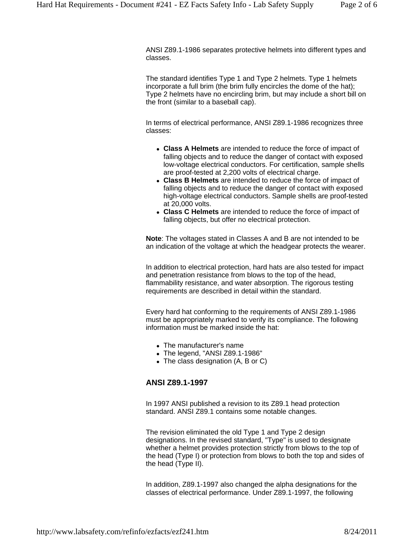ANSI Z89.1-1986 separates protective helmets into different types and classes.

The standard identifies Type 1 and Type 2 helmets. Type 1 helmets incorporate a full brim (the brim fully encircles the dome of the hat); Type 2 helmets have no encircling brim, but may include a short bill on the front (similar to a baseball cap).

In terms of electrical performance, ANSI Z89.1-1986 recognizes three classes:

- **Class A Helmets** are intended to reduce the force of impact of falling objects and to reduce the danger of contact with exposed low-voltage electrical conductors. For certification, sample shells are proof-tested at 2,200 volts of electrical charge.
- **Class B Helmets** are intended to reduce the force of impact of falling objects and to reduce the danger of contact with exposed high-voltage electrical conductors. Sample shells are proof-tested at 20,000 volts.
- **Class C Helmets** are intended to reduce the force of impact of falling objects, but offer no electrical protection.

**Note**: The voltages stated in Classes A and B are not intended to be an indication of the voltage at which the headgear protects the wearer.

In addition to electrical protection, hard hats are also tested for impact and penetration resistance from blows to the top of the head, flammability resistance, and water absorption. The rigorous testing requirements are described in detail within the standard.

Every hard hat conforming to the requirements of ANSI Z89.1-1986 must be appropriately marked to verify its compliance. The following information must be marked inside the hat:

- The manufacturer's name
- The legend, "ANSI Z89.1-1986"
- The class designation (A, B or C)

#### **ANSI Z89.1-1997**

In 1997 ANSI published a revision to its Z89.1 head protection standard. ANSI Z89.1 contains some notable changes.

The revision eliminated the old Type 1 and Type 2 design designations. In the revised standard, "Type" is used to designate whether a helmet provides protection strictly from blows to the top of the head (Type I) or protection from blows to both the top and sides of the head (Type II).

In addition, Z89.1-1997 also changed the alpha designations for the classes of electrical performance. Under Z89.1-1997, the following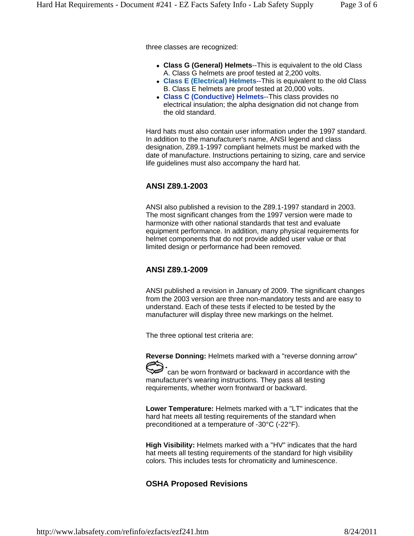three classes are recognized:

- **Class G (General) Helmets**--This is equivalent to the old Class A. Class G helmets are proof tested at 2,200 volts.
- **Class E (Electrical) Helmets**--This is equivalent to the old Class B. Class E helmets are proof tested at 20,000 volts.
- **Class C (Conductive) Helmets**--This class provides no electrical insulation; the alpha designation did not change from the old standard.

Hard hats must also contain user information under the 1997 standard. In addition to the manufacturer's name, ANSI legend and class designation, Z89.1-1997 compliant helmets must be marked with the date of manufacture. Instructions pertaining to sizing, care and service life guidelines must also accompany the hard hat.

#### **ANSI Z89.1-2003**

ANSI also published a revision to the Z89.1-1997 standard in 2003. The most significant changes from the 1997 version were made to harmonize with other national standards that test and evaluate equipment performance. In addition, many physical requirements for helmet components that do not provide added user value or that limited design or performance had been removed.

#### **ANSI Z89.1-2009**

ANSI published a revision in January of 2009. The significant changes from the 2003 version are three non-mandatory tests and are easy to understand. Each of these tests if elected to be tested by the manufacturer will display three new markings on the helmet.

The three optional test criteria are:

**Reverse Donning:** Helmets marked with a "reverse donning arrow"

can be worn frontward or backward in accordance with the manufacturer's wearing instructions. They pass all testing requirements, whether worn frontward or backward.

**Lower Temperature:** Helmets marked with a "LT" indicates that the hard hat meets all testing requirements of the standard when preconditioned at a temperature of -30°C (-22°F).

**High Visibility:** Helmets marked with a "HV" indicates that the hard hat meets all testing requirements of the standard for high visibility colors. This includes tests for chromaticity and luminescence.

#### **OSHA Proposed Revisions**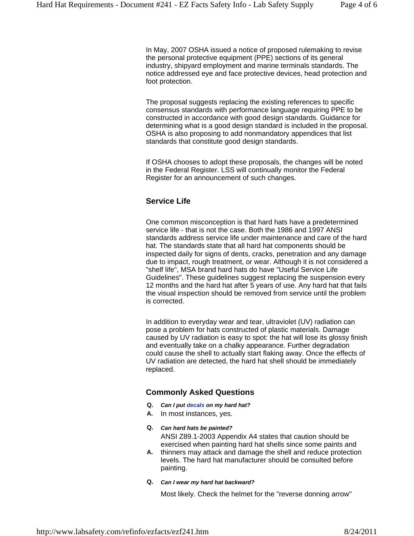In May, 2007 OSHA issued a notice of proposed rulemaking to revise the personal protective equipment (PPE) sections of its general industry, shipyard employment and marine terminals standards. The notice addressed eye and face protective devices, head protection and foot protection.

The proposal suggests replacing the existing references to specific consensus standards with performance language requiring PPE to be constructed in accordance with good design standards. Guidance for determining what is a good design standard is included in the proposal. OSHA is also proposing to add nonmandatory appendices that list standards that constitute good design standards.

If OSHA chooses to adopt these proposals, the changes will be noted in the Federal Register. LSS will continually monitor the Federal Register for an announcement of such changes.

### **Service Life**

One common misconception is that hard hats have a predetermined service life - that is not the case. Both the 1986 and 1997 ANSI standards address service life under maintenance and care of the hard hat. The standards state that all hard hat components should be inspected daily for signs of dents, cracks, penetration and any damage due to impact, rough treatment, or wear. Although it is not considered a "shelf life", MSA brand hard hats do have "Useful Service Life Guidelines". These guidelines suggest replacing the suspension every 12 months and the hard hat after 5 years of use. Any hard hat that fails the visual inspection should be removed from service until the problem is corrected.

In addition to everyday wear and tear, ultraviolet (UV) radiation can pose a problem for hats constructed of plastic materials. Damage caused by UV radiation is easy to spot: the hat will lose its glossy finish and eventually take on a chalky appearance. Further degradation could cause the shell to actually start flaking away. Once the effects of UV radiation are detected, the hard hat shell should be immediately replaced.

#### **Commonly Asked Questions**

- **Q.** *Can I put decals on my hard hat?*
- **A.** In most instances, yes.
- **Q.** *Can hard hats be painted?* ANSI Z89.1-2003 Appendix A4 states that caution should be exercised when painting hard hat shells since some paints and
- **A.** thinners may attack and damage the shell and reduce protection levels. The hard hat manufacturer should be consulted before painting.

#### **Q.** *Can I wear my hard hat backward?*

Most likely. Check the helmet for the "reverse donning arrow"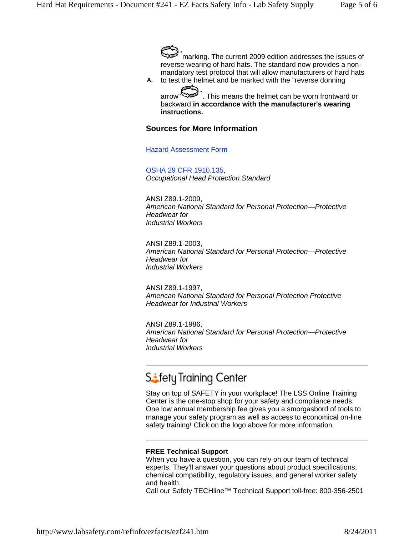marking. The current 2009 edition addresses the issues of reverse wearing of hard hats. The standard now provides a nonmandatory test protocol that will allow manufacturers of hard hats

**A.** to test the helmet and be marked with the "reverse donning arrow" $\bigotimes$ . This means the helmet can be worn frontward or

backward **in accordance with the manufacturer's wearing instructions.**

#### **Sources for More Information**

Hazard Assessment Form

OSHA 29 CFR 1910.135, *Occupational Head Protection Standard* 

ANSI Z89.1-2009, *American National Standard for Personal Protection—Protective Headwear for Industrial Workers*

ANSI Z89.1-2003, *American National Standard for Personal Protection—Protective Headwear for Industrial Workers*

ANSI Z89.1-1997, *American National Standard for Personal Protection Protective Headwear for Industrial Workers*

ANSI Z89.1-1986, *American National Standard for Personal Protection—Protective Headwear for Industrial Workers* 

# Stety Training Center

Stay on top of SAFETY in your workplace! The LSS Online Training Center is the one-stop shop for your safety and compliance needs. One low annual membership fee gives you a smorgasbord of tools to manage your safety program as well as access to economical on-line safety training! Click on the logo above for more information.

#### **FREE Technical Support**

When you have a question, you can rely on our team of technical experts. They'll answer your questions about product specifications, chemical compatibility, regulatory issues, and general worker safety and health.

Call our Safety TECHline™ Technical Support toll-free: 800-356-2501